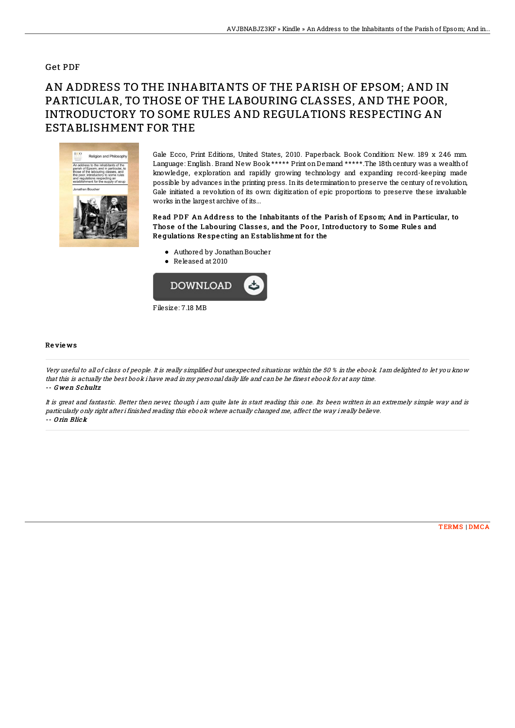## Get PDF

## AN ADDRESS TO THE INHABITANTS OF THE PARISH OF EPSOM; AND IN PARTICULAR, TO THOSE OF THE LABOURING CLASSES, AND THE POOR, INTRODUCTORY TO SOME RULES AND REGULATIONS RESPECTING AN ESTABLISHMENT FOR THE



Gale Ecco, Print Editions, United States, 2010. Paperback. Book Condition: New. 189 x 246 mm. Language: English. Brand New Book \*\*\*\*\* Print on Demand \*\*\*\*\*. The 18th century was a wealth of knowledge, exploration and rapidly growing technology and expanding record-keeping made possible by advances inthe printing press. Inits determinationto preserve the century of revolution, Gale initiated a revolution of its own: digitization of epic proportions to preserve these invaluable works inthe largest archive of its...

Read PDF An Address to the Inhabitants of the Parish of Epsom; And in Particular, to Those of the Labouring Classes, and the Poor, Introductory to Some Rules and Regulations Respecting an Establishment for the

- Authored by JonathanBoucher
- Released at 2010



## Re vie ws

Very useful to all of class of people. It is really simplified but unexpected situations within the 50 % in the ebook. I am delighted to let you know that this is actually the best book i have read in my personal daily life and can be he finest ebook for at any time. -- Gwen Schultz

It is great and fantastic. Better then never, though i am quite late in start reading this one. Its been written in an extremely simple way and is particularly only right after i finished reading this ebook where actually changed me, affect the way i really believe. -- O rin Blick